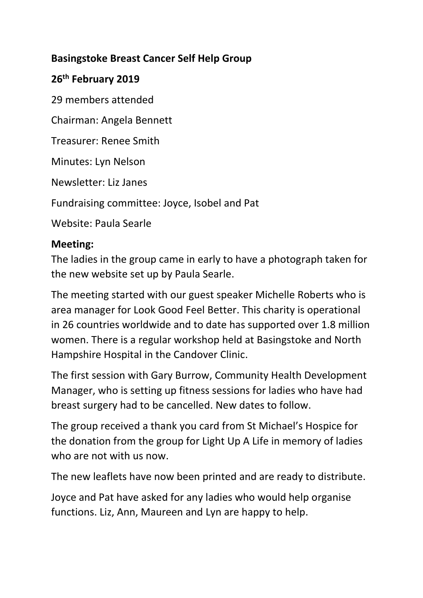## **Basingstoke Breast Cancer Self Help Group**

## **26th February 2019**

29 members attended

Chairman: Angela Bennett

Treasurer: Renee Smith

Minutes: Lyn Nelson

Newsletter: Liz Janes

Fundraising committee: Joyce, Isobel and Pat

Website: Paula Searle

## **Meeting:**

The ladies in the group came in early to have a photograph taken for the new website set up by Paula Searle.

The meeting started with our guest speaker Michelle Roberts who is area manager for Look Good Feel Better. This charity is operational in 26 countries worldwide and to date has supported over 1.8 million women. There is a regular workshop held at Basingstoke and North Hampshire Hospital in the Candover Clinic.

The first session with Gary Burrow, Community Health Development Manager, who is setting up fitness sessions for ladies who have had breast surgery had to be cancelled. New dates to follow.

The group received a thank you card from St Michael's Hospice for the donation from the group for Light Up A Life in memory of ladies who are not with us now.

The new leaflets have now been printed and are ready to distribute.

Joyce and Pat have asked for any ladies who would help organise functions. Liz, Ann, Maureen and Lyn are happy to help.